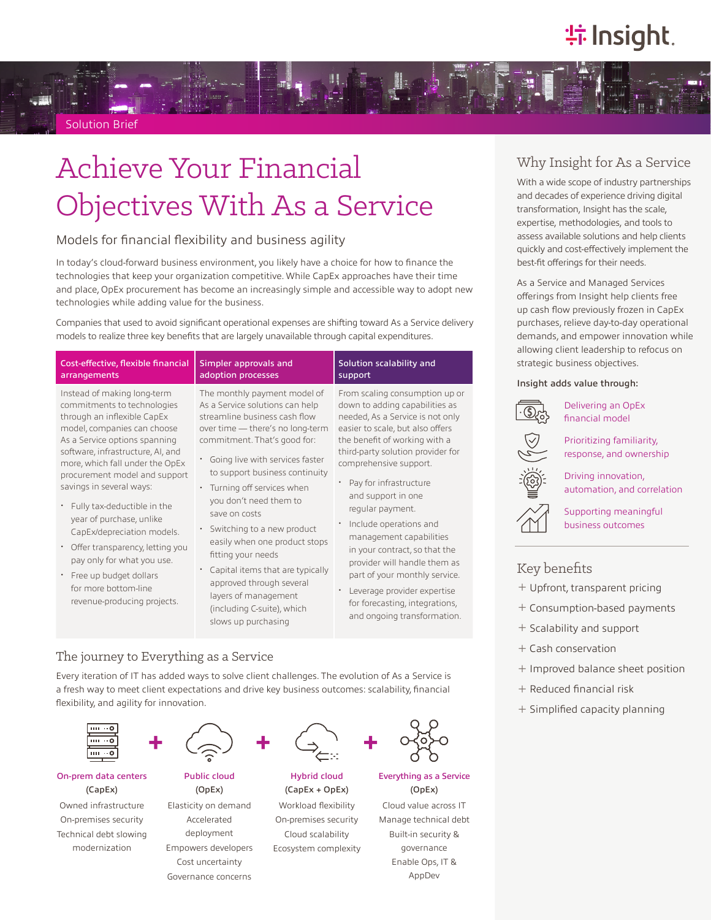# **特Insight**.

Solution Brief

# Achieve Your Financial Objectives With As a Service

## Models for financial flexibility and business agility

In today's cloud-forward business environment, you likely have a choice for how to finance the technologies that keep your organization competitive. While CapEx approaches have their time and place, OpEx procurement has become an increasingly simple and accessible way to adopt new technologies while adding value for the business.

Companies that used to avoid significant operational expenses are shifting toward As a Service delivery models to realize three key benefits that are largely unavailable through capital expenditures.

| Cost-effective, flexible financial                                                                                                                                                                                                                                                                                                                                                                                                                                                                                                        | Simpler approvals and                                                                                                                                                                                                                                                                                                                                                                                                                                                                                                                               | Solution scalability and                                                                                                                                                                                                                                                                                                                                                                                                                                                                                                                                            |
|-------------------------------------------------------------------------------------------------------------------------------------------------------------------------------------------------------------------------------------------------------------------------------------------------------------------------------------------------------------------------------------------------------------------------------------------------------------------------------------------------------------------------------------------|-----------------------------------------------------------------------------------------------------------------------------------------------------------------------------------------------------------------------------------------------------------------------------------------------------------------------------------------------------------------------------------------------------------------------------------------------------------------------------------------------------------------------------------------------------|---------------------------------------------------------------------------------------------------------------------------------------------------------------------------------------------------------------------------------------------------------------------------------------------------------------------------------------------------------------------------------------------------------------------------------------------------------------------------------------------------------------------------------------------------------------------|
| arrangements                                                                                                                                                                                                                                                                                                                                                                                                                                                                                                                              | adoption processes                                                                                                                                                                                                                                                                                                                                                                                                                                                                                                                                  | support                                                                                                                                                                                                                                                                                                                                                                                                                                                                                                                                                             |
| Instead of making long-term<br>commitments to technologies<br>through an inflexible CapEx<br>model, companies can choose<br>As a Service options spanning<br>software, infrastructure, AI, and<br>more, which fall under the OpEx<br>procurement model and support<br>savings in several ways:<br>Fully tax-deductible in the<br>year of purchase, unlike<br>CapEx/depreciation models.<br>Offer transparency, letting you<br>pay only for what you use.<br>Free up budget dollars<br>for more bottom-line<br>revenue-producing projects. | The monthly payment model of<br>As a Service solutions can help<br>streamline business cash flow<br>over time - there's no long-term<br>commitment. That's good for:<br>Going live with services faster<br>to support business continuity<br>Turning off services when<br>you don't need them to<br>save on costs<br>Switching to a new product<br>easily when one product stops<br>fitting your needs<br>Capital items that are typically<br>approved through several<br>layers of management<br>(including C-suite), which<br>slows up purchasing | From scaling consumption up or<br>down to adding capabilities as<br>needed, As a Service is not only<br>easier to scale, but also offers<br>the benefit of working with a<br>third-party solution provider for<br>comprehensive support.<br>Pay for infrastructure<br>and support in one<br>regular payment.<br>Include operations and<br>management capabilities<br>in your contract, so that the<br>provider will handle them as<br>part of your monthly service.<br>Leverage provider expertise<br>for forecasting, integrations,<br>and ongoing transformation. |

## The journey to Everything as a Service

Every iteration of IT has added ways to solve client challenges. The evolution of As a Service is a fresh way to meet client expectations and drive key business outcomes: scalability, financial flexibility, and agility for innovation.



### On-prem data centers (CapEx)

Owned infrastructure On-premises security Technical debt slowing modernization



(OpEx)





Hybrid cloud (CapEx + OpEx) Workload flexibility On-premises security Cloud scalability

Ecosystem complexity



#### Everything as a Service (OpEx)

Cloud value across IT Manage technical debt Built-in security & governance Enable Ops, IT & AppDev

## Why Insight for As a Service

With a wide scope of industry partnerships and decades of experience driving digital transformation, Insight has the scale, expertise, methodologies, and tools to assess available solutions and help clients quickly and cost-effectively implement the best-fit offerings for their needs.

As a Service and Managed Services offerings from Insight help clients free up cash flow previously frozen in CapEx purchases, relieve day-to-day operational demands, and empower innovation while allowing client leadership to refocus on strategic business objectives.

#### Insight adds value through:



Delivering an OpEx financial model

Prioritizing familiarity, response, and ownership

Driving innovation, automation, and correlation

Supporting meaningful business outcomes

## Key benefits

- ͓ Upfront, transparent pricing
- ͓ Consumption-based payments
- ͓ Scalability and support
- ͓ Cash conservation
- ͓ Improved balance sheet position
- ͓ Reduced financial risk
- ͓ Simplified capacity planning